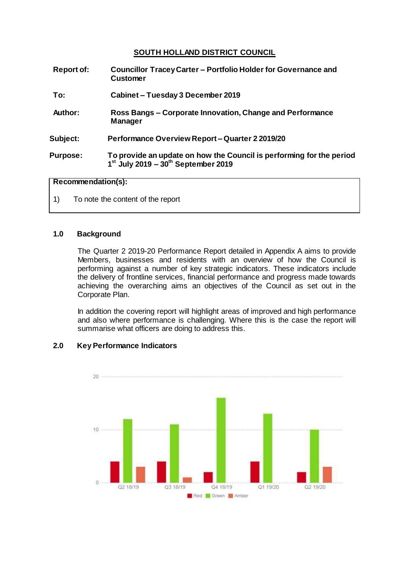# **SOUTH HOLLAND DISTRICT COUNCIL**

| <b>Report of:</b> | Councillor Tracey Carter – Portfolio Holder for Governance and<br><b>Customer</b>                               |  |
|-------------------|-----------------------------------------------------------------------------------------------------------------|--|
| To:               | Cabinet - Tuesday 3 December 2019                                                                               |  |
| Author:           | Ross Bangs – Corporate Innovation, Change and Performance<br><b>Manager</b>                                     |  |
| Subject:          | <b>Performance Overview Report – Quarter 2 2019/20</b>                                                          |  |
| <b>Purpose:</b>   | To provide an update on how the Council is performing for the period<br>$1st$ July 2019 – $30th$ September 2019 |  |

#### **Recommendation(s):**

1) To note the content of the report

#### **1.0 Background**

The Quarter 2 2019-20 Performance Report detailed in Appendix A aims to provide Members, businesses and residents with an overview of how the Council is performing against a number of key strategic indicators. These indicators include the delivery of frontline services, financial performance and progress made towards achieving the overarching aims an objectives of the Council as set out in the Corporate Plan.

In addition the covering report will highlight areas of improved and high performance and also where performance is challenging. Where this is the case the report will summarise what officers are doing to address this.

# **2.0 Key Performance Indicators**

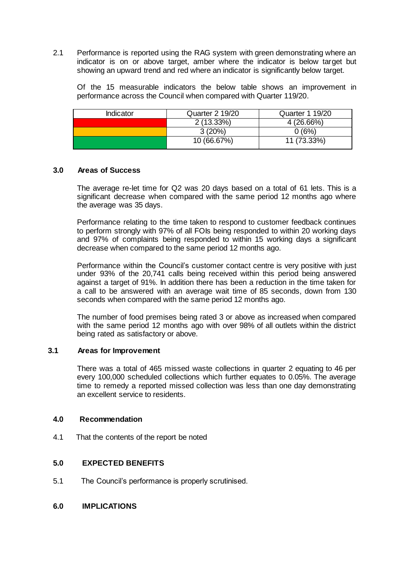2.1 Performance is reported using the RAG system with green demonstrating where an indicator is on or above target, amber where the indicator is below target but showing an upward trend and red where an indicator is significantly below target.

Of the 15 measurable indicators the below table shows an improvement in performance across the Council when compared with Quarter 119/20.

| Indicator | <b>Quarter 2 19/20</b> | <b>Quarter 1 19/20</b> |
|-----------|------------------------|------------------------|
|           | $2(13.33\%)$           | 4(26.66%)              |
|           | 3(20%)                 | 0 (6%)                 |
|           | 10 (66.67%)            | 11 (73.33%)            |

#### **3.0 Areas of Success**

The average re-let time for Q2 was 20 days based on a total of 61 lets. This is a significant decrease when compared with the same period 12 months ago where the average was 35 days.

Performance relating to the time taken to respond to customer feedback continues to perform strongly with 97% of all FOIs being responded to within 20 working days and 97% of complaints being responded to within 15 working days a significant decrease when compared to the same period 12 months ago.

Performance within the Council's customer contact centre is very positive with just under 93% of the 20,741 calls being received within this period being answered against a target of 91%. In addition there has been a reduction in the time taken for a call to be answered with an average wait time of 85 seconds, down from 130 seconds when compared with the same period 12 months ago.

The number of food premises being rated 3 or above as increased when compared with the same period 12 months ago with over 98% of all outlets within the district being rated as satisfactory or above.

## **3.1 Areas for Improvement**

There was a total of 465 missed waste collections in quarter 2 equating to 46 per every 100,000 scheduled collections which further equates to 0.05%. The average time to remedy a reported missed collection was less than one day demonstrating an excellent service to residents.

#### **4.0 Recommendation**

4.1 That the contents of the report be noted

## **5.0 EXPECTED BENEFITS**

5.1 The Council's performance is properly scrutinised.

#### **6.0 IMPLICATIONS**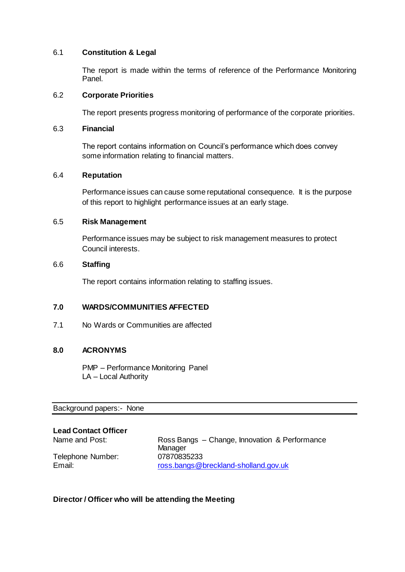## 6.1 **Constitution & Legal**

The report is made within the terms of reference of the Performance Monitoring Panel.

## 6.2 **Corporate Priorities**

The report presents progress monitoring of performance of the corporate priorities.

#### 6.3 **Financial**

The report contains information on Council's performance which does convey some information relating to financial matters.

## 6.4 **Reputation**

Performance issues can cause some reputational consequence. It is the purpose of this report to highlight performance issues at an early stage.

#### 6.5 **Risk Management**

Performance issues may be subject to risk management measures to protect Council interests.

# 6.6 **Staffing**

The report contains information relating to staffing issues.

## **7.0 WARDS/COMMUNITIES AFFECTED**

7.1 No Wards or Communities are affected

## **8.0 ACRONYMS**

PMP – Performance Monitoring Panel LA – Local Authority

Background papers:- [None](file:///C:/Users/CharlottePaine/Democratic%20Services/Committee/Committee/Report%20Guide/2014/THE%20COMMITTEE%20REPORT%20GUIDE_JUNE%202014.doc)

## **Lead Contact Officer**

Telephone Number: 07870835233

Name and Post: Ross Bangs – Change, Innovation & Performance **Manager** Email: **Email:** [ross.bangs@breckland-sholland.gov.uk](mailto:greg.pearson@breckland-sholland.gov.uk)

## **Director / Officer who will be attending the Meeting**